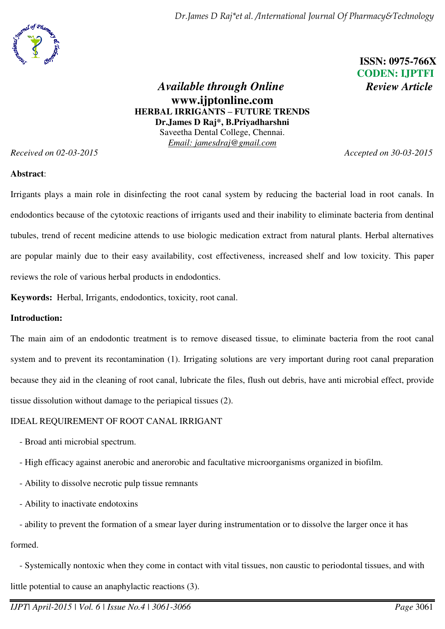*Dr.James D Raj\*et al. /International Journal Of Pharmacy&Technology* 



 **ISSN: 0975-766X CODEN: IJPTFI** 

# *Available through Online Review Article* **www.ijptonline.com HERBAL IRRIGANTS – FUTURE TRENDS Dr.James D Raj\*, B.Priyadharshni**  Saveetha Dental College, Chennai. *Email: jamesdraj@gmail.com*

*Received on 02-03-2015 Accepted on 30-03-2015*

## **Abstract**:

Irrigants plays a main role in disinfecting the root canal system by reducing the bacterial load in root canals. In endodontics because of the cytotoxic reactions of irrigants used and their inability to eliminate bacteria from dentinal tubules, trend of recent medicine attends to use biologic medication extract from natural plants. Herbal alternatives are popular mainly due to their easy availability, cost effectiveness, increased shelf and low toxicity. This paper reviews the role of various herbal products in endodontics.

**Keywords:** Herbal, Irrigants, endodontics, toxicity, root canal.

### **Introduction:**

The main aim of an endodontic treatment is to remove diseased tissue, to eliminate bacteria from the root canal system and to prevent its recontamination (1). Irrigating solutions are very important during root canal preparation because they aid in the cleaning of root canal, lubricate the files, flush out debris, have anti microbial effect, provide tissue dissolution without damage to the periapical tissues (2).

# IDEAL REQUIREMENT OF ROOT CANAL IRRIGANT

- Broad anti microbial spectrum.
- High efficacy against anerobic and anerorobic and facultative microorganisms organized in biofilm.
- Ability to dissolve necrotic pulp tissue remnants
- Ability to inactivate endotoxins

 - ability to prevent the formation of a smear layer during instrumentation or to dissolve the larger once it has formed.

 - Systemically nontoxic when they come in contact with vital tissues, non caustic to periodontal tissues, and with little potential to cause an anaphylactic reactions (3).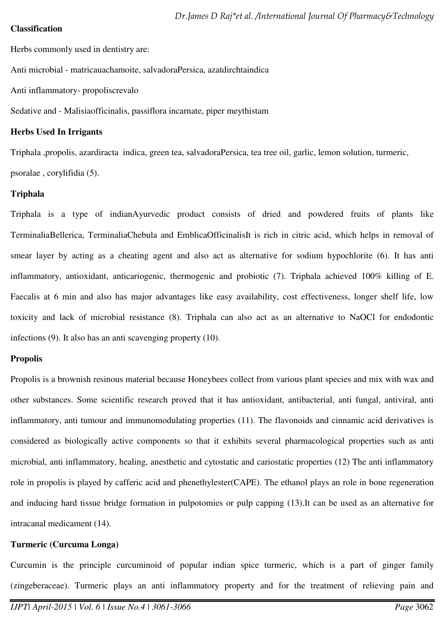#### **Classification**

Herbs commonly used in dentistry are:

Anti microbial - matricauachamoite, salvadoraPersica, azatdirchtaindica

Anti inflammatory- propoliscrevalo

Sedative and - Malisiaofficinalis, passiflora incarnate, piper meythistam

#### **Herbs Used In Irrigants**

Triphala ,propolis, azardiracta indica, green tea, salvadoraPersica, tea tree oil, garlic, lemon solution, turmeric,

psoralae , corylifidia (5).

### **Triphala**

Triphala is a type of indianAyurvedic product consists of dried and powdered fruits of plants like TerminaliaBellerica, TerminaliaChebula and EmblicaOfficinalisIt is rich in citric acid, which helps in removal of smear layer by acting as a cheating agent and also act as alternative for sodium hypochlorite (6). It has anti inflammatory, antioxidant, anticariogenic, thermogenic and probiotic (7). Triphala achieved 100% killing of E. Faecalis at 6 min and also has major advantages like easy availability, cost effectiveness, longer shelf life, low toxicity and lack of microbial resistance (8). Triphala can also act as an alternative to NaOCl for endodontic infections (9). It also has an anti scavenging property (10).

### **Propolis**

Propolis is a brownish resinous material because Honeybees collect from various plant species and mix with wax and other substances. Some scientific research proved that it has antioxidant, antibacterial, anti fungal, antiviral, anti inflammatory, anti tumour and immunomodulating properties (11). The flavonoids and cinnamic acid derivatives is considered as biologically active components so that it exhibits several pharmacological properties such as anti microbial, anti inflammatory, healing, anesthetic and cytostatic and cariostatic properties (12) The anti inflammatory role in propolis is played by cafferic acid and phenethylester(CAPE). The ethanol plays an role in bone regeneration and inducing hard tissue bridge formation in pulpotomies or pulp capping (13).It can be used as an alternative for intracanal medicament (14).

### **Turmeric (Curcuma Longa)**

Curcumin is the principle curcuminoid of popular indian spice turmeric, which is a part of ginger family (zingeberaceae). Turmeric plays an anti inflammatory property and for the treatment of relieving pain and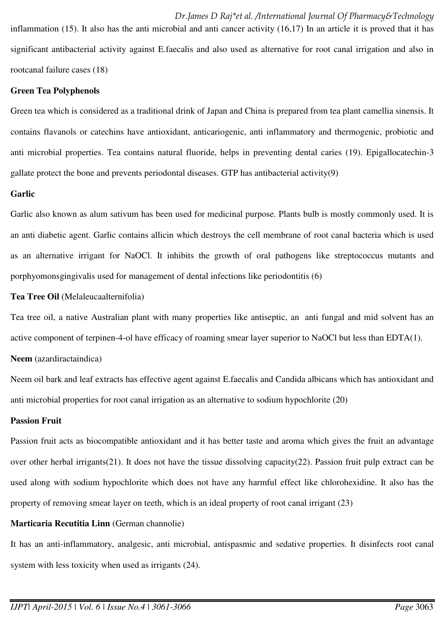*Dr.James D Raj\*et al. /International Journal Of Pharmacy&Technology*  inflammation (15). It also has the anti microbial and anti cancer activity (16,17) In an article it is proved that it has significant antibacterial activity against E.faecalis and also used as alternative for root canal irrigation and also in rootcanal failure cases (18)

### **Green Tea Polyphenols**

Green tea which is considered as a traditional drink of Japan and China is prepared from tea plant camellia sinensis. It contains flavanols or catechins have antioxidant, anticariogenic, anti inflammatory and thermogenic, probiotic and anti microbial properties. Tea contains natural fluoride, helps in preventing dental caries (19). Epigallocatechin-3 gallate protect the bone and prevents periodontal diseases. GTP has antibacterial activity(9)

### **Garlic**

Garlic also known as alum sativum has been used for medicinal purpose. Plants bulb is mostly commonly used. It is an anti diabetic agent. Garlic contains allicin which destroys the cell membrane of root canal bacteria which is used as an alternative irrigant for NaOCl. It inhibits the growth of oral pathogens like streptococcus mutants and porphyomonsgingivalis used for management of dental infections like periodontitis (6)

### **Tea Tree Oil** (Melaleucaalternifolia)

Tea tree oil, a native Australian plant with many properties like antiseptic, an anti fungal and mid solvent has an active component of terpinen-4-ol have efficacy of roaming smear layer superior to NaOCl but less than EDTA(1).

**Neem** (azardiractaindica)

Neem oil bark and leaf extracts has effective agent against E.faecalis and Candida albicans which has antioxidant and anti microbial properties for root canal irrigation as an alternative to sodium hypochlorite (20)

### **Passion Fruit**

Passion fruit acts as biocompatible antioxidant and it has better taste and aroma which gives the fruit an advantage over other herbal irrigants(21). It does not have the tissue dissolving capacity(22). Passion fruit pulp extract can be used along with sodium hypochlorite which does not have any harmful effect like chlorohexidine. It also has the property of removing smear layer on teeth, which is an ideal property of root canal irrigant (23)

## **Marticaria Recutitia Linn** (German channolie)

It has an anti-inflammatory, analgesic, anti microbial, antispasmic and sedative properties. It disinfects root canal system with less toxicity when used as irrigants  $(24)$ .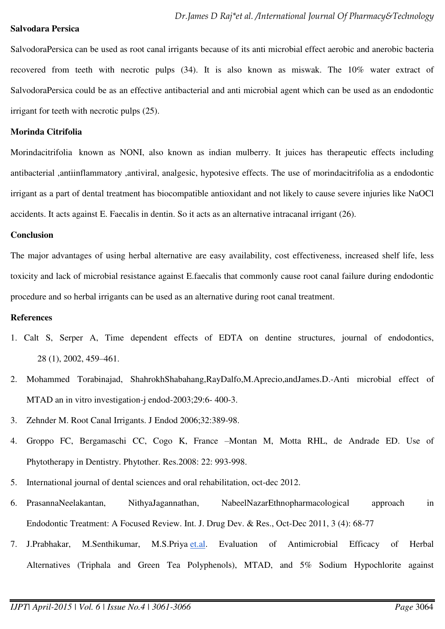#### **Salvodara Persica**

SalvodoraPersica can be used as root canal irrigants because of its anti microbial effect aerobic and anerobic bacteria recovered from teeth with necrotic pulps (34). It is also known as miswak. The 10% water extract of SalvodoraPersica could be as an effective antibacterial and anti microbial agent which can be used as an endodontic irrigant for teeth with necrotic pulps (25).

#### **Morinda Citrifolia**

Morindacitrifolia known as NONI, also known as indian mulberry. It juices has therapeutic effects including antibacterial ,antiinflammatory ,antiviral, analgesic, hypotesive effects. The use of morindacitrifolia as a endodontic irrigant as a part of dental treatment has biocompatible antioxidant and not likely to cause severe injuries like NaOCl accidents. It acts against E. Faecalis in dentin. So it acts as an alternative intracanal irrigant (26).

#### **Conclusion**

The major advantages of using herbal alternative are easy availability, cost effectiveness, increased shelf life, less toxicity and lack of microbial resistance against E.faecalis that commonly cause root canal failure during endodontic procedure and so herbal irrigants can be used as an alternative during root canal treatment.

#### **References**

- 1. Calt S, Serper A, Time dependent effects of EDTA on dentine structures, journal of endodontics, 28 (1), 2002, 459–461.
- 2. Mohammed Torabinajad, ShahrokhShabahang,RayDalfo,M.Aprecio,andJames.D.-Anti microbial effect of MTAD an in vitro investigation-j endod-2003;29:6- 400-3.
- 3. Zehnder M. Root Canal Irrigants. J Endod 2006;32:389-98.
- 4. Groppo FC, Bergamaschi CC, Cogo K, France –Montan M, Motta RHL, de Andrade ED. Use of Phytotherapy in Dentistry. Phytother. Res.2008: 22: 993-998.
- 5. International journal of dental sciences and oral rehabilitation, oct-dec 2012.
- 6. PrasannaNeelakantan, NithyaJagannathan, NabeelNazarEthnopharmacological approach in Endodontic Treatment: A Focused Review. Int. J. Drug Dev. & Res., Oct-Dec 2011, 3 (4): 68-77
- 7. J.Prabhakar, M.Senthikumar, M.S.Priya [et.al.](http://et.al/) Evaluation of Antimicrobial Efficacy of Herbal Alternatives (Triphala and Green Tea Polyphenols), MTAD, and 5% Sodium Hypochlorite against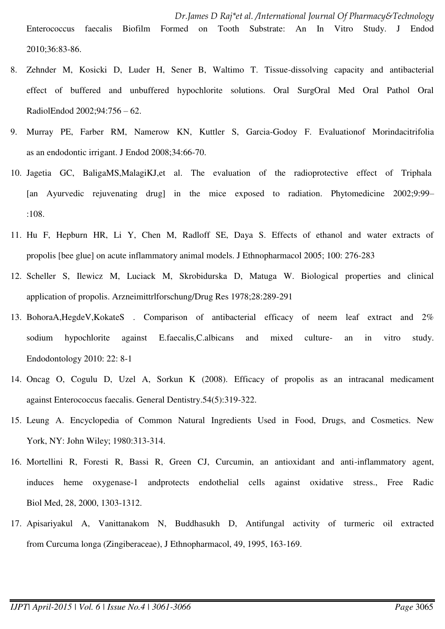- 8. Zehnder M, Kosicki D, Luder H, Sener B, Waltimo T. Tissue-dissolving capacity and antibacterial effect of buffered and unbuffered hypochlorite solutions. Oral SurgOral Med Oral Pathol Oral RadiolEndod 2002;94:756 – 62.
- 9. Murray PE, Farber RM, Namerow KN, Kuttler S, Garcia-Godoy F. Evaluationof Morindacitrifolia as an endodontic irrigant. J Endod 2008;34:66-70.
- 10. Jagetia GC, BaligaMS,MalagiKJ,et al. The evaluation of the radioprotective effect of Triphala [an Ayurvedic rejuvenating drug] in the mice exposed to radiation. Phytomedicine 2002;9:99– :108.
- 11. Hu F, Hepburn HR, Li Y, Chen M, Radloff SE, Daya S. Effects of ethanol and water extracts of propolis [bee glue] on acute inflammatory animal models. J Ethnopharmacol 2005; 100: 276-283
- 12. Scheller S, Ilewicz M, Luciack M, Skrobidurska D, Matuga W. Biological properties and clinical application of propolis. Arzneimittrlforschung/Drug Res 1978;28:289-291
- 13. BohoraA,HegdeV,KokateS . Comparison of antibacterial efficacy of neem leaf extract and 2% sodium hypochlorite against E.faecalis,C.albicans and mixed culture- an in vitro study. Endodontology 2010: 22: 8-1
- 14. Oncag O, Cogulu D, Uzel A, Sorkun K (2008). Efficacy of propolis as an intracanal medicament against Enterococcus faecalis. General Dentistry.54(5):319-322.
- 15. Leung A. Encyclopedia of Common Natural Ingredients Used in Food, Drugs, and Cosmetics. New York, NY: John Wiley; 1980:313-314.
- 16. Mortellini R, Foresti R, Bassi R, Green CJ, Curcumin, an antioxidant and anti-inflammatory agent, induces heme oxygenase-1 andprotects endothelial cells against oxidative stress., Free Radic Biol Med, 28, 2000, 1303-1312.
- 17. Apisariyakul A, Vanittanakom N, Buddhasukh D, Antifungal activity of turmeric oil extracted from Curcuma longa (Zingiberaceae), J Ethnopharmacol, 49, 1995, 163-169.